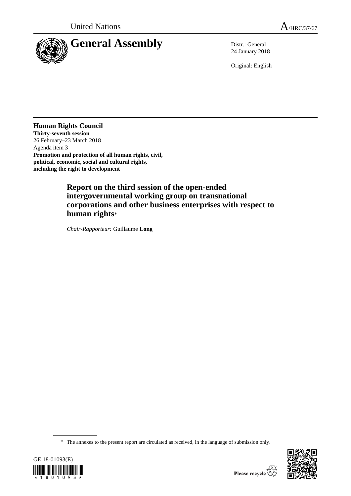

24 January 2018

Original: English

**Human Rights Council Thirty-seventh session** 26 February–23 March 2018 Agenda item 3 **Promotion and protection of all human rights, civil, political, economic, social and cultural rights, including the right to development**

> **Report on the third session of the open-ended intergovernmental working group on transnational corporations and other business enterprises with respect to human rights**\*

*Chair-Rapporteur:* Guillaume **Long**

\* The annexes to the present report are circulated as received, in the language of submission only.



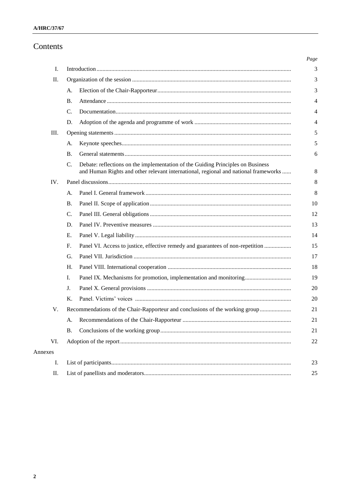# Contents

| Ι.      |                                                                              |                                                                                                                                                                        |
|---------|------------------------------------------------------------------------------|------------------------------------------------------------------------------------------------------------------------------------------------------------------------|
| П.      |                                                                              |                                                                                                                                                                        |
|         | А.                                                                           |                                                                                                                                                                        |
|         | Β.                                                                           |                                                                                                                                                                        |
|         | C.<br>D.                                                                     |                                                                                                                                                                        |
| Ш.      |                                                                              |                                                                                                                                                                        |
|         |                                                                              |                                                                                                                                                                        |
|         | A.<br><b>B.</b>                                                              |                                                                                                                                                                        |
|         | C.                                                                           | Debate: reflections on the implementation of the Guiding Principles on Business<br>and Human Rights and other relevant international, regional and national frameworks |
| IV.     |                                                                              |                                                                                                                                                                        |
|         | А.                                                                           |                                                                                                                                                                        |
|         | Β.                                                                           |                                                                                                                                                                        |
|         | C.                                                                           |                                                                                                                                                                        |
|         | D.                                                                           |                                                                                                                                                                        |
|         | Е.                                                                           |                                                                                                                                                                        |
|         | F.                                                                           | Panel VI. Access to justice, effective remedy and guarantees of non-repetition                                                                                         |
|         | G.                                                                           |                                                                                                                                                                        |
|         | Н.                                                                           |                                                                                                                                                                        |
|         | Ι.                                                                           | Panel IX. Mechanisms for promotion, implementation and monitoring                                                                                                      |
|         | J.                                                                           |                                                                                                                                                                        |
|         | Κ.                                                                           |                                                                                                                                                                        |
| V.      | Recommendations of the Chair-Rapporteur and conclusions of the working group |                                                                                                                                                                        |
|         |                                                                              |                                                                                                                                                                        |
|         | <b>B.</b>                                                                    |                                                                                                                                                                        |
| VI.     |                                                                              |                                                                                                                                                                        |
| Annexes |                                                                              |                                                                                                                                                                        |
| I.      |                                                                              |                                                                                                                                                                        |
| П.      |                                                                              |                                                                                                                                                                        |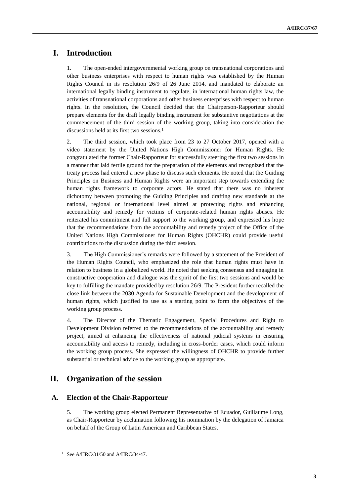# **I. Introduction**

1. The open-ended intergovernmental working group on transnational corporations and other business enterprises with respect to human rights was established by the Human Rights Council in its resolution 26/9 of 26 June 2014, and mandated to elaborate an international legally binding instrument to regulate, in international human rights law, the activities of transnational corporations and other business enterprises with respect to human rights. In the resolution, the Council decided that the Chairperson-Rapporteur should prepare elements for the draft legally binding instrument for substantive negotiations at the commencement of the third session of the working group, taking into consideration the discussions held at its first two sessions.<sup>1</sup>

2. The third session, which took place from 23 to 27 October 2017, opened with a video statement by the United Nations High Commissioner for Human Rights. He congratulated the former Chair-Rapporteur for successfully steering the first two sessions in a manner that laid fertile ground for the preparation of the elements and recognized that the treaty process had entered a new phase to discuss such elements. He noted that the Guiding Principles on Business and Human Rights were an important step towards extending the human rights framework to corporate actors. He stated that there was no inherent dichotomy between promoting the Guiding Principles and drafting new standards at the national, regional or international level aimed at protecting rights and enhancing accountability and remedy for victims of corporate-related human rights abuses. He reiterated his commitment and full support to the working group, and expressed his hope that the recommendations from the accountability and remedy project of the Office of the United Nations High Commissioner for Human Rights (OHCHR) could provide useful contributions to the discussion during the third session.

3. The High Commissioner's remarks were followed by a statement of the President of the Human Rights Council, who emphasized the role that human rights must have in relation to business in a globalized world. He noted that seeking consensus and engaging in constructive cooperation and dialogue was the spirit of the first two sessions and would be key to fulfilling the mandate provided by resolution 26/9. The President further recalled the close link between the 2030 Agenda for Sustainable Development and the development of human rights, which justified its use as a starting point to form the objectives of the working group process.

4. The Director of the Thematic Engagement, Special Procedures and Right to Development Division referred to the recommendations of the accountability and remedy project, aimed at enhancing the effectiveness of national judicial systems in ensuring accountability and access to remedy, including in cross-border cases, which could inform the working group process. She expressed the willingness of OHCHR to provide further substantial or technical advice to the working group as appropriate.

# **II. Organization of the session**

# **A. Election of the Chair-Rapporteur**

5. The working group elected Permanent Representative of Ecuador, Guillaume Long, as Chair-Rapporteur by acclamation following his nomination by the delegation of Jamaica on behalf of the Group of Latin American and Caribbean States.

<sup>&</sup>lt;sup>1</sup> See A/HRC/31/50 and A/HRC/34/47.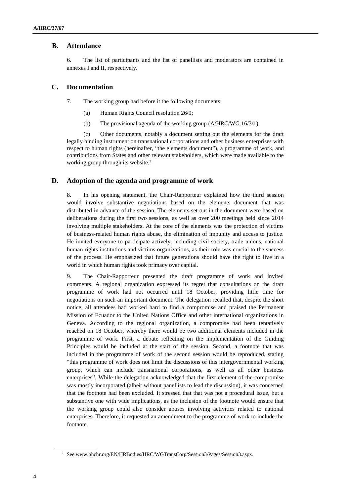## **B. Attendance**

6. The list of participants and the list of panellists and moderators are contained in annexes I and II, respectively.

## **C. Documentation**

7. The working group had before it the following documents:

- (a) Human Rights Council resolution 26/9;
- (b) The provisional agenda of the working group (A/HRC/WG.16/3/1);

(c) Other documents, notably a document setting out the elements for the draft legally binding instrument on transnational corporations and other business enterprises with respect to human rights (hereinafter, "the elements document"), a programme of work, and contributions from States and other relevant stakeholders, which were made available to the working group through its website.<sup>2</sup>

## **D. Adoption of the agenda and programme of work**

8. In his opening statement, the Chair-Rapporteur explained how the third session would involve substantive negotiations based on the elements document that was distributed in advance of the session. The elements set out in the document were based on deliberations during the first two sessions, as well as over 200 meetings held since 2014 involving multiple stakeholders. At the core of the elements was the protection of victims of business-related human rights abuse, the elimination of impunity and access to justice. He invited everyone to participate actively, including civil society, trade unions, national human rights institutions and victims organizations, as their role was crucial to the success of the process. He emphasized that future generations should have the right to live in a world in which human rights took primacy over capital.

9. The Chair-Rapporteur presented the draft programme of work and invited comments. A regional organization expressed its regret that consultations on the draft programme of work had not occurred until 18 October, providing little time for negotiations on such an important document. The delegation recalled that, despite the short notice, all attendees had worked hard to find a compromise and praised the Permanent Mission of Ecuador to the United Nations Office and other international organizations in Geneva. According to the regional organization, a compromise had been tentatively reached on 18 October, whereby there would be two additional elements included in the programme of work. First, a debate reflecting on the implementation of the Guiding Principles would be included at the start of the session. Second, a footnote that was included in the programme of work of the second session would be reproduced, stating "this programme of work does not limit the discussions of this intergovernmental working group, which can include transnational corporations, as well as all other business enterprises". While the delegation acknowledged that the first element of the compromise was mostly incorporated (albeit without panellists to lead the discussion), it was concerned that the footnote had been excluded. It stressed that that was not a procedural issue, but a substantive one with wide implications, as the inclusion of the footnote would ensure that the working group could also consider abuses involving activities related to national enterprises. Therefore, it requested an amendment to the programme of work to include the footnote.

<sup>&</sup>lt;sup>2</sup> See www.ohchr.org/EN/HRBodies/HRC/WGTransCorp/Session3/Pages/Session3.aspx.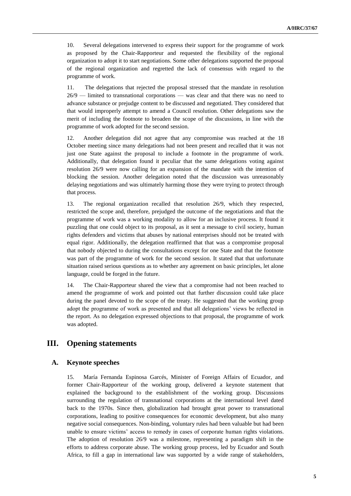10. Several delegations intervened to express their support for the programme of work as proposed by the Chair-Rapporteur and requested the flexibility of the regional organization to adopt it to start negotiations. Some other delegations supported the proposal of the regional organization and regretted the lack of consensus with regard to the programme of work.

11. The delegations that rejected the proposal stressed that the mandate in resolution 26/9 — limited to transnational corporations — was clear and that there was no need to advance substance or prejudge content to be discussed and negotiated. They considered that that would improperly attempt to amend a Council resolution. Other delegations saw the merit of including the footnote to broaden the scope of the discussions, in line with the programme of work adopted for the second session.

12. Another delegation did not agree that any compromise was reached at the 18 October meeting since many delegations had not been present and recalled that it was not just one State against the proposal to include a footnote in the programme of work. Additionally, that delegation found it peculiar that the same delegations voting against resolution 26/9 were now calling for an expansion of the mandate with the intention of blocking the session. Another delegation noted that the discussion was unreasonably delaying negotiations and was ultimately harming those they were trying to protect through that process.

13. The regional organization recalled that resolution 26/9, which they respected, restricted the scope and, therefore, prejudged the outcome of the negotiations and that the programme of work was a working modality to allow for an inclusive process. It found it puzzling that one could object to its proposal, as it sent a message to civil society, human rights defenders and victims that abuses by national enterprises should not be treated with equal rigor. Additionally, the delegation reaffirmed that that was a compromise proposal that nobody objected to during the consultations except for one State and that the footnote was part of the programme of work for the second session. It stated that that unfortunate situation raised serious questions as to whether any agreement on basic principles, let alone language, could be forged in the future.

14. The Chair-Rapporteur shared the view that a compromise had not been reached to amend the programme of work and pointed out that further discussion could take place during the panel devoted to the scope of the treaty. He suggested that the working group adopt the programme of work as presented and that all delegations' views be reflected in the report. As no delegation expressed objections to that proposal, the programme of work was adopted.

# **III. Opening statements**

### **A. Keynote speeches**

15. María Fernanda Espinosa Garcés, Minister of Foreign Affairs of Ecuador, and former Chair-Rapporteur of the working group, delivered a keynote statement that explained the background to the establishment of the working group. Discussions surrounding the regulation of transnational corporations at the international level dated back to the 1970s. Since then, globalization had brought great power to transnational corporations, leading to positive consequences for economic development, but also many negative social consequences. Non-binding, voluntary rules had been valuable but had been unable to ensure victims' access to remedy in cases of corporate human rights violations. The adoption of resolution 26/9 was a milestone, representing a paradigm shift in the efforts to address corporate abuse. The working group process, led by Ecuador and South Africa, to fill a gap in international law was supported by a wide range of stakeholders,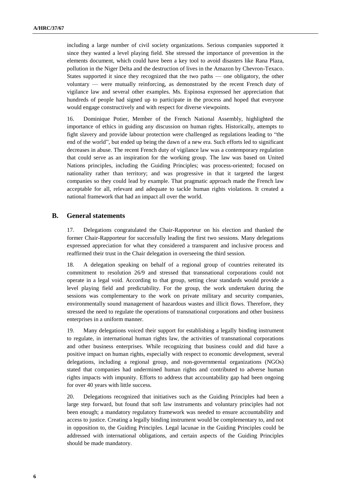including a large number of civil society organizations. Serious companies supported it since they wanted a level playing field. She stressed the importance of prevention in the elements document, which could have been a key tool to avoid disasters like Rana Plaza, pollution in the Niger Delta and the destruction of lives in the Amazon by Chevron-Texaco. States supported it since they recognized that the two paths — one obligatory, the other voluntary — were mutually reinforcing, as demonstrated by the recent French duty of vigilance law and several other examples. Ms. Espinosa expressed her appreciation that hundreds of people had signed up to participate in the process and hoped that everyone would engage constructively and with respect for diverse viewpoints.

16. Dominique Potier, Member of the French National Assembly, highlighted the importance of ethics in guiding any discussion on human rights. Historically, attempts to fight slavery and provide labour protection were challenged as regulations leading to "the end of the world", but ended up being the dawn of a new era. Such efforts led to significant decreases in abuse. The recent French duty of vigilance law was a contemporary regulation that could serve as an inspiration for the working group. The law was based on United Nations principles, including the Guiding Principles; was process-oriented; focused on nationality rather than territory; and was progressive in that it targeted the largest companies so they could lead by example. That pragmatic approach made the French law acceptable for all, relevant and adequate to tackle human rights violations. It created a national framework that had an impact all over the world.

## **B. General statements**

17. Delegations congratulated the Chair-Rapporteur on his election and thanked the former Chair-Rapporteur for successfully leading the first two sessions. Many delegations expressed appreciation for what they considered a transparent and inclusive process and reaffirmed their trust in the Chair delegation in overseeing the third session.

18. A delegation speaking on behalf of a regional group of countries reiterated its commitment to resolution 26/9 and stressed that transnational corporations could not operate in a legal void. According to that group, setting clear standards would provide a level playing field and predictability. For the group, the work undertaken during the sessions was complementary to the work on private military and security companies, environmentally sound management of hazardous wastes and illicit flows. Therefore, they stressed the need to regulate the operations of transnational corporations and other business enterprises in a uniform manner.

19. Many delegations voiced their support for establishing a legally binding instrument to regulate, in international human rights law, the activities of transnational corporations and other business enterprises. While recognizing that business could and did have a positive impact on human rights, especially with respect to economic development, several delegations, including a regional group, and non-governmental organizations (NGOs) stated that companies had undermined human rights and contributed to adverse human rights impacts with impunity. Efforts to address that accountability gap had been ongoing for over 40 years with little success.

20. Delegations recognized that initiatives such as the Guiding Principles had been a large step forward, but found that soft law instruments and voluntary principles had not been enough; a mandatory regulatory framework was needed to ensure accountability and access to justice. Creating a legally binding instrument would be complementary to, and not in opposition to, the Guiding Principles. Legal lacunae in the Guiding Principles could be addressed with international obligations, and certain aspects of the Guiding Principles should be made mandatory.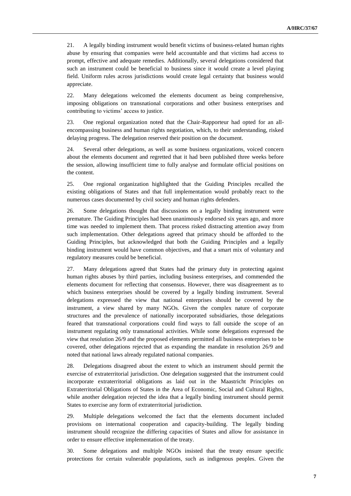21. A legally binding instrument would benefit victims of business-related human rights abuse by ensuring that companies were held accountable and that victims had access to prompt, effective and adequate remedies. Additionally, several delegations considered that such an instrument could be beneficial to business since it would create a level playing field. Uniform rules across jurisdictions would create legal certainty that business would appreciate.

22. Many delegations welcomed the elements document as being comprehensive, imposing obligations on transnational corporations and other business enterprises and contributing to victims' access to justice.

23. One regional organization noted that the Chair-Rapporteur had opted for an allencompassing business and human rights negotiation, which, to their understanding, risked delaying progress. The delegation reserved their position on the document.

24. Several other delegations, as well as some business organizations, voiced concern about the elements document and regretted that it had been published three weeks before the session, allowing insufficient time to fully analyse and formulate official positions on the content.

25. One regional organization highlighted that the Guiding Principles recalled the existing obligations of States and that full implementation would probably react to the numerous cases documented by civil society and human rights defenders.

26. Some delegations thought that discussions on a legally binding instrument were premature. The Guiding Principles had been unanimously endorsed six years ago, and more time was needed to implement them. That process risked distracting attention away from such implementation. Other delegations agreed that primacy should be afforded to the Guiding Principles, but acknowledged that both the Guiding Principles and a legally binding instrument would have common objectives, and that a smart mix of voluntary and regulatory measures could be beneficial.

27. Many delegations agreed that States had the primary duty in protecting against human rights abuses by third parties, including business enterprises, and commended the elements document for reflecting that consensus. However, there was disagreement as to which business enterprises should be covered by a legally binding instrument. Several delegations expressed the view that national enterprises should be covered by the instrument, a view shared by many NGOs. Given the complex nature of corporate structures and the prevalence of nationally incorporated subsidiaries, those delegations feared that transnational corporations could find ways to fall outside the scope of an instrument regulating only transnational activities. While some delegations expressed the view that resolution 26/9 and the proposed elements permitted all business enterprises to be covered, other delegations rejected that as expanding the mandate in resolution 26/9 and noted that national laws already regulated national companies.

28. Delegations disagreed about the extent to which an instrument should permit the exercise of extraterritorial jurisdiction. One delegation suggested that the instrument could incorporate extraterritorial obligations as laid out in the Maastricht Principles on Extraterritorial Obligations of States in the Area of Economic, Social and Cultural Rights, while another delegation rejected the idea that a legally binding instrument should permit States to exercise any form of extraterritorial jurisdiction.

29. Multiple delegations welcomed the fact that the elements document included provisions on international cooperation and capacity-building. The legally binding instrument should recognize the differing capacities of States and allow for assistance in order to ensure effective implementation of the treaty.

30. Some delegations and multiple NGOs insisted that the treaty ensure specific protections for certain vulnerable populations, such as indigenous peoples. Given the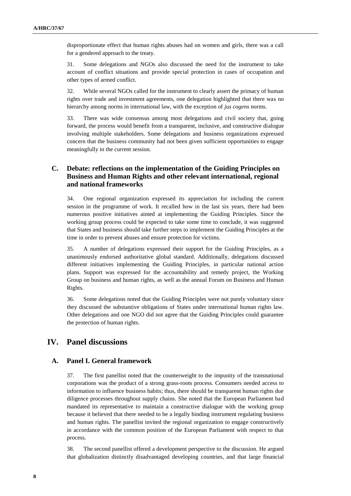disproportionate effect that human rights abuses had on women and girls, there was a call for a gendered approach to the treaty.

31. Some delegations and NGOs also discussed the need for the instrument to take account of conflict situations and provide special protection in cases of occupation and other types of armed conflict.

32. While several NGOs called for the instrument to clearly assert the primacy of human rights over trade and investment agreements, one delegation highlighted that there was no hierarchy among norms in international law, with the exception of *jus cogens* norms.

33. There was wide consensus among most delegations and civil society that, going forward, the process would benefit from a transparent, inclusive, and constructive dialogue involving multiple stakeholders. Some delegations and business organizations expressed concern that the business community had not been given sufficient opportunities to engage meaningfully in the current session.

# **C. Debate: reflections on the implementation of the Guiding Principles on Business and Human Rights and other relevant international, regional and national frameworks**

34. One regional organization expressed its appreciation for including the current session in the programme of work. It recalled how in the last six years, there had been numerous positive initiatives aimed at implementing the Guiding Principles. Since the working group process could be expected to take some time to conclude, it was suggested that States and business should take further steps to implement the Guiding Principles at the time in order to prevent abuses and ensure protection for victims.

35. A number of delegations expressed their support for the Guiding Principles, as a unanimously endorsed authoritative global standard. Additionally, delegations discussed different initiatives implementing the Guiding Principles, in particular national action plans. Support was expressed for the accountability and remedy project, the Working Group on business and human rights, as well as the annual Forum on Business and Human Rights.

36. Some delegations noted that the Guiding Principles were not purely voluntary since they discussed the substantive obligations of States under international human rights law. Other delegations and one NGO did not agree that the Guiding Principles could guarantee the protection of human rights.

# **IV. Panel discussions**

### **A. Panel I. General framework**

37. The first panellist noted that the counterweight to the impunity of the transnational corporations was the product of a strong grass-roots process. Consumers needed access to information to influence business habits; thus, there should be transparent human rights due diligence processes throughout supply chains. She noted that the European Parliament had mandated its representative to maintain a constructive dialogue with the working group because it believed that there needed to be a legally binding instrument regulating business and human rights. The panellist invited the regional organization to engage constructively in accordance with the common position of the European Parliament with respect to that process.

38. The second panellist offered a development perspective to the discussion. He argued that globalization distinctly disadvantaged developing countries, and that large financial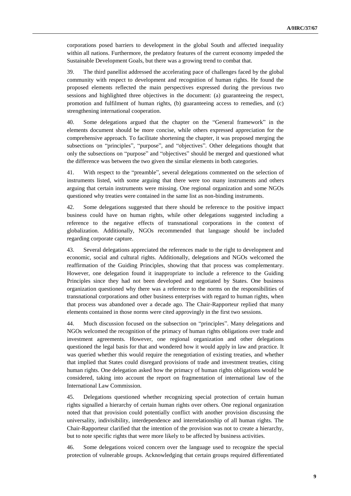corporations posed barriers to development in the global South and affected inequality within all nations. Furthermore, the predatory features of the current economy impeded the Sustainable Development Goals, but there was a growing trend to combat that.

39. The third panellist addressed the accelerating pace of challenges faced by the global community with respect to development and recognition of human rights. He found the proposed elements reflected the main perspectives expressed during the previous two sessions and highlighted three objectives in the document: (a) guaranteeing the respect, promotion and fulfilment of human rights, (b) guaranteeing access to remedies, and (c) strengthening international cooperation.

40. Some delegations argued that the chapter on the "General framework" in the elements document should be more concise, while others expressed appreciation for the comprehensive approach. To facilitate shortening the chapter, it was proposed merging the subsections on "principles", "purpose", and "objectives". Other delegations thought that only the subsections on "purpose" and "objectives" should be merged and questioned what the difference was between the two given the similar elements in both categories.

41. With respect to the "preamble", several delegations commented on the selection of instruments listed, with some arguing that there were too many instruments and others arguing that certain instruments were missing. One regional organization and some NGOs questioned why treaties were contained in the same list as non-binding instruments.

42. Some delegations suggested that there should be reference to the positive impact business could have on human rights, while other delegations suggested including a reference to the negative effects of transnational corporations in the context of globalization. Additionally, NGOs recommended that language should be included regarding corporate capture.

43. Several delegations appreciated the references made to the right to development and economic, social and cultural rights. Additionally, delegations and NGOs welcomed the reaffirmation of the Guiding Principles, showing that that process was complementary. However, one delegation found it inappropriate to include a reference to the Guiding Principles since they had not been developed and negotiated by States. One business organization questioned why there was a reference to the norms on the responsibilities of transnational corporations and other business enterprises with regard to human rights, when that process was abandoned over a decade ago. The Chair-Rapporteur replied that many elements contained in those norms were cited approvingly in the first two sessions.

44. Much discussion focused on the subsection on "principles". Many delegations and NGOs welcomed the recognition of the primacy of human rights obligations over trade and investment agreements. However, one regional organization and other delegations questioned the legal basis for that and wondered how it would apply in law and practice. It was queried whether this would require the renegotiation of existing treaties, and whether that implied that States could disregard provisions of trade and investment treaties, citing human rights. One delegation asked how the primacy of human rights obligations would be considered, taking into account the report on fragmentation of international law of the International Law Commission.

45. Delegations questioned whether recognizing special protection of certain human rights signalled a hierarchy of certain human rights over others. One regional organization noted that that provision could potentially conflict with another provision discussing the universality, indivisibility, interdependence and interrelationship of all human rights. The Chair-Rapporteur clarified that the intention of the provision was not to create a hierarchy, but to note specific rights that were more likely to be affected by business activities.

46. Some delegations voiced concern over the language used to recognize the special protection of vulnerable groups. Acknowledging that certain groups required differentiated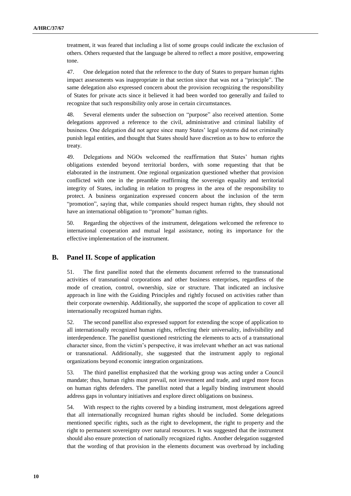treatment, it was feared that including a list of some groups could indicate the exclusion of others. Others requested that the language be altered to reflect a more positive, empowering tone.

47. One delegation noted that the reference to the duty of States to prepare human rights impact assessments was inappropriate in that section since that was not a "principle". The same delegation also expressed concern about the provision recognizing the responsibility of States for private acts since it believed it had been worded too generally and failed to recognize that such responsibility only arose in certain circumstances.

48. Several elements under the subsection on "purpose" also received attention. Some delegations approved a reference to the civil, administrative and criminal liability of business. One delegation did not agree since many States' legal systems did not criminally punish legal entities, and thought that States should have discretion as to how to enforce the treaty.

49. Delegations and NGOs welcomed the reaffirmation that States' human rights obligations extended beyond territorial borders, with some requesting that that be elaborated in the instrument. One regional organization questioned whether that provision conflicted with one in the preamble reaffirming the sovereign equality and territorial integrity of States, including in relation to progress in the area of the responsibility to protect. A business organization expressed concern about the inclusion of the term "promotion", saying that, while companies should respect human rights, they should not have an international obligation to "promote" human rights.

50. Regarding the objectives of the instrument, delegations welcomed the reference to international cooperation and mutual legal assistance, noting its importance for the effective implementation of the instrument.

### **B. Panel II. Scope of application**

51. The first panellist noted that the elements document referred to the transnational activities of transnational corporations and other business enterprises, regardless of the mode of creation, control, ownership, size or structure. That indicated an inclusive approach in line with the Guiding Principles and rightly focused on activities rather than their corporate ownership. Additionally, she supported the scope of application to cover all internationally recognized human rights.

52. The second panellist also expressed support for extending the scope of application to all internationally recognized human rights, reflecting their universality, indivisibility and interdependence. The panellist questioned restricting the elements to acts of a transnational character since, from the victim's perspective, it was irrelevant whether an act was national or transnational. Additionally, she suggested that the instrument apply to regional organizations beyond economic integration organizations.

53. The third panellist emphasized that the working group was acting under a Council mandate; thus, human rights must prevail, not investment and trade, and urged more focus on human rights defenders. The panellist noted that a legally binding instrument should address gaps in voluntary initiatives and explore direct obligations on business.

54. With respect to the rights covered by a binding instrument, most delegations agreed that all internationally recognized human rights should be included. Some delegations mentioned specific rights, such as the right to development, the right to property and the right to permanent sovereignty over natural resources. It was suggested that the instrument should also ensure protection of nationally recognized rights. Another delegation suggested that the wording of that provision in the elements document was overbroad by including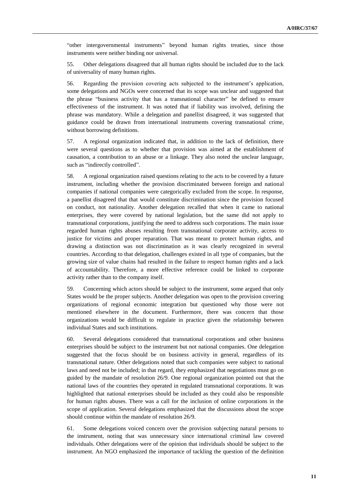"other intergovernmental instruments" beyond human rights treaties, since those instruments were neither binding nor universal.

55. Other delegations disagreed that all human rights should be included due to the lack of universality of many human rights.

56. Regarding the provision covering acts subjected to the instrument's application, some delegations and NGOs were concerned that its scope was unclear and suggested that the phrase "business activity that has a transnational character" be defined to ensure effectiveness of the instrument. It was noted that if liability was involved, defining the phrase was mandatory. While a delegation and panellist disagreed, it was suggested that guidance could be drawn from international instruments covering transnational crime, without borrowing definitions.

57. A regional organization indicated that, in addition to the lack of definition, there were several questions as to whether that provision was aimed at the establishment of causation, a contribution to an abuse or a linkage. They also noted the unclear language, such as "indirectly controlled".

58. A regional organization raised questions relating to the acts to be covered by a future instrument, including whether the provision discriminated between foreign and national companies if national companies were categorically excluded from the scope. In response, a panellist disagreed that that would constitute discrimination since the provision focused on conduct, not nationality. Another delegation recalled that when it came to national enterprises, they were covered by national legislation, but the same did not apply to transnational corporations, justifying the need to address such corporations. The main issue regarded human rights abuses resulting from transnational corporate activity, access to justice for victims and proper reparation. That was meant to protect human rights, and drawing a distinction was not discrimination as it was clearly recognized in several countries. According to that delegation, challenges existed in all type of companies, but the growing size of value chains had resulted in the failure to respect human rights and a lack of accountability. Therefore, a more effective reference could be linked to corporate activity rather than to the company itself.

59. Concerning which actors should be subject to the instrument, some argued that only States would be the proper subjects. Another delegation was open to the provision covering organizations of regional economic integration but questioned why those were not mentioned elsewhere in the document. Furthermore, there was concern that those organizations would be difficult to regulate in practice given the relationship between individual States and such institutions.

60. Several delegations considered that transnational corporations and other business enterprises should be subject to the instrument but not national companies. One delegation suggested that the focus should be on business activity in general, regardless of its transnational nature. Other delegations noted that such companies were subject to national laws and need not be included; in that regard, they emphasized that negotiations must go on guided by the mandate of resolution 26/9. One regional organization pointed out that the national laws of the countries they operated in regulated transnational corporations. It was highlighted that national enterprises should be included as they could also be responsible for human rights abuses. There was a call for the inclusion of online corporations in the scope of application. Several delegations emphasized that the discussions about the scope should continue within the mandate of resolution 26/9.

61. Some delegations voiced concern over the provision subjecting natural persons to the instrument, noting that was unnecessary since international criminal law covered individuals. Other delegations were of the opinion that individuals should be subject to the instrument. An NGO emphasized the importance of tackling the question of the definition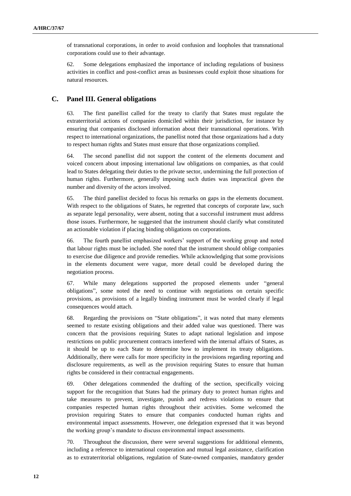of transnational corporations, in order to avoid confusion and loopholes that transnational corporations could use to their advantage.

62. Some delegations emphasized the importance of including regulations of business activities in conflict and post-conflict areas as businesses could exploit those situations for natural resources.

### **C. Panel III. General obligations**

63. The first panellist called for the treaty to clarify that States must regulate the extraterritorial actions of companies domiciled within their jurisdiction, for instance by ensuring that companies disclosed information about their transnational operations. With respect to international organizations, the panellist noted that those organizations had a duty to respect human rights and States must ensure that those organizations complied.

64. The second panellist did not support the content of the elements document and voiced concern about imposing international law obligations on companies, as that could lead to States delegating their duties to the private sector, undermining the full protection of human rights. Furthermore, generally imposing such duties was impractical given the number and diversity of the actors involved.

65. The third panellist decided to focus his remarks on gaps in the elements document. With respect to the obligations of States, he regretted that concepts of corporate law, such as separate legal personality, were absent, noting that a successful instrument must address those issues. Furthermore, he suggested that the instrument should clarify what constituted an actionable violation if placing binding obligations on corporations.

66. The fourth panellist emphasized workers' support of the working group and noted that labour rights must be included. She noted that the instrument should oblige companies to exercise due diligence and provide remedies. While acknowledging that some provisions in the elements document were vague, more detail could be developed during the negotiation process.

67. While many delegations supported the proposed elements under "general obligations", some noted the need to continue with negotiations on certain specific provisions, as provisions of a legally binding instrument must be worded clearly if legal consequences would attach.

68. Regarding the provisions on "State obligations", it was noted that many elements seemed to restate existing obligations and their added value was questioned. There was concern that the provisions requiring States to adapt national legislation and impose restrictions on public procurement contracts interfered with the internal affairs of States, as it should be up to each State to determine how to implement its treaty obligations. Additionally, there were calls for more specificity in the provisions regarding reporting and disclosure requirements, as well as the provision requiring States to ensure that human rights be considered in their contractual engagements.

69. Other delegations commended the drafting of the section, specifically voicing support for the recognition that States had the primary duty to protect human rights and take measures to prevent, investigate, punish and redress violations to ensure that companies respected human rights throughout their activities. Some welcomed the provision requiring States to ensure that companies conducted human rights and environmental impact assessments. However, one delegation expressed that it was beyond the working group's mandate to discuss environmental impact assessments.

70. Throughout the discussion, there were several suggestions for additional elements, including a reference to international cooperation and mutual legal assistance, clarification as to extraterritorial obligations, regulation of State-owned companies, mandatory gender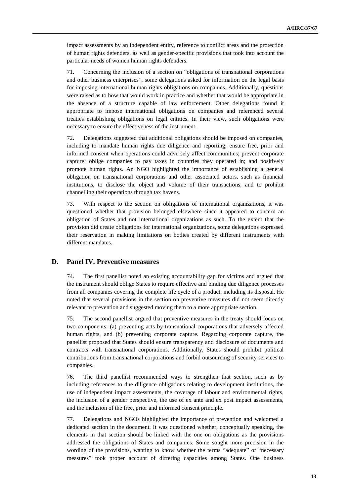impact assessments by an independent entity, reference to conflict areas and the protection of human rights defenders, as well as gender-specific provisions that took into account the particular needs of women human rights defenders.

71. Concerning the inclusion of a section on "obligations of transnational corporations and other business enterprises", some delegations asked for information on the legal basis for imposing international human rights obligations on companies. Additionally, questions were raised as to how that would work in practice and whether that would be appropriate in the absence of a structure capable of law enforcement. Other delegations found it appropriate to impose international obligations on companies and referenced several treaties establishing obligations on legal entities. In their view, such obligations were necessary to ensure the effectiveness of the instrument.

72. Delegations suggested that additional obligations should be imposed on companies, including to mandate human rights due diligence and reporting; ensure free, prior and informed consent when operations could adversely affect communities; prevent corporate capture; oblige companies to pay taxes in countries they operated in; and positively promote human rights. An NGO highlighted the importance of establishing a general obligation on transnational corporations and other associated actors, such as financial institutions, to disclose the object and volume of their transactions, and to prohibit channelling their operations through tax havens.

73. With respect to the section on obligations of international organizations, it was questioned whether that provision belonged elsewhere since it appeared to concern an obligation of States and not international organizations as such. To the extent that the provision did create obligations for international organizations, some delegations expressed their reservation in making limitations on bodies created by different instruments with different mandates.

### **D. Panel IV. Preventive measures**

74. The first panellist noted an existing accountability gap for victims and argued that the instrument should oblige States to require effective and binding due diligence processes from all companies covering the complete life cycle of a product, including its disposal. He noted that several provisions in the section on preventive measures did not seem directly relevant to prevention and suggested moving them to a more appropriate section.

75. The second panellist argued that preventive measures in the treaty should focus on two components: (a) preventing acts by transnational corporations that adversely affected human rights, and (b) preventing corporate capture. Regarding corporate capture, the panellist proposed that States should ensure transparency and disclosure of documents and contracts with transnational corporations. Additionally, States should prohibit political contributions from transnational corporations and forbid outsourcing of security services to companies.

76. The third panellist recommended ways to strengthen that section, such as by including references to due diligence obligations relating to development institutions, the use of independent impact assessments, the coverage of labour and environmental rights, the inclusion of a gender perspective, the use of ex ante and ex post impact assessments, and the inclusion of the free, prior and informed consent principle.

77. Delegations and NGOs highlighted the importance of prevention and welcomed a dedicated section in the document. It was questioned whether, conceptually speaking, the elements in that section should be linked with the one on obligations as the provisions addressed the obligations of States and companies. Some sought more precision in the wording of the provisions, wanting to know whether the terms "adequate" or "necessary measures" took proper account of differing capacities among States. One business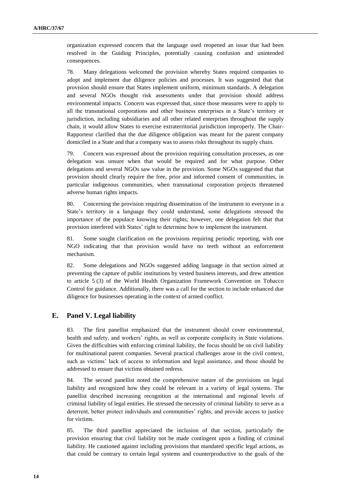organization expressed concern that the language used reopened an issue that had been resolved in the Guiding Principles, potentially causing confusion and unintended consequences.

78. Many delegations welcomed the provision whereby States required companies to adopt and implement due diligence policies and processes. It was suggested that that provision should ensure that States implement uniform, minimum standards. A delegation and several NGOs thought risk assessments under that provision should address environmental impacts. Concern was expressed that, since those measures were to apply to all the transnational corporations and other business enterprises in a State's territory or jurisdiction, including subsidiaries and all other related enterprises throughout the supply chain, it would allow States to exercise extraterritorial jurisdiction improperly. The Chair-Rapporteur clarified that the due diligence obligation was meant for the parent company domiciled in a State and that a company was to assess risks throughout its supply chain.

79. Concern was expressed about the provision requiring consultation processes, as one delegation was unsure when that would be required and for what purpose. Other delegations and several NGOs saw value in the provision. Some NGOs suggested that that provision should clearly require the free, prior and informed consent of communities, in particular indigenous communities, when transnational corporation projects threatened adverse human rights impacts.

80. Concerning the provision requiring dissemination of the instrument to everyone in a State's territory in a language they could understand, some delegations stressed the importance of the populace knowing their rights; however, one delegation felt that that provision interfered with States' right to determine how to implement the instrument.

81. Some sought clarification on the provisions requiring periodic reporting, with one NGO indicating that that provision would have no teeth without an enforcement mechanism.

82. Some delegations and NGOs suggested adding language in that section aimed at preventing the capture of public institutions by vested business interests, and drew attention to article 5 (3) of the World Health Organization Framework Convention on Tobacco Control for guidance. Additionally, there was a call for the section to include enhanced due diligence for businesses operating in the context of armed conflict.

#### **E. Panel V. Legal liability**

83. The first panellist emphasized that the instrument should cover environmental, health and safety, and workers' rights, as well as corporate complicity in State violations. Given the difficulties with enforcing criminal liability, the focus should be on civil liability for multinational parent companies. Several practical challenges arose in the civil context, such as victims' lack of access to information and legal assistance, and those should be addressed to ensure that victims obtained redress.

84. The second panellist noted the comprehensive nature of the provisions on legal liability and recognized how they could be relevant in a variety of legal systems. The panellist described increasing recognition at the international and regional levels of criminal liability of legal entities. He stressed the necessity of criminal liability to serve as a deterrent, better protect individuals and communities' rights, and provide access to justice for victims.

85. The third panellist appreciated the inclusion of that section, particularly the provision ensuring that civil liability not be made contingent upon a finding of criminal liability. He cautioned against including provisions that mandated specific legal actions, as that could be contrary to certain legal systems and counterproductive to the goals of the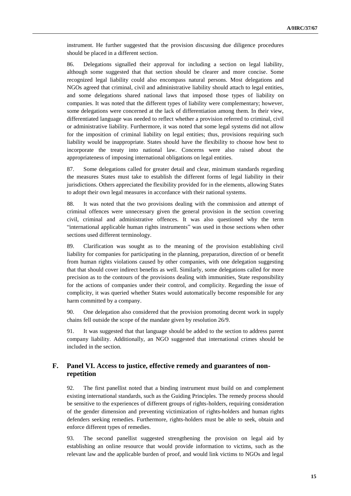instrument. He further suggested that the provision discussing due diligence procedures should be placed in a different section.

86. Delegations signalled their approval for including a section on legal liability, although some suggested that that section should be clearer and more concise. Some recognized legal liability could also encompass natural persons. Most delegations and NGOs agreed that criminal, civil and administrative liability should attach to legal entities, and some delegations shared national laws that imposed those types of liability on companies. It was noted that the different types of liability were complementary; however, some delegations were concerned at the lack of differentiation among them. In their view, differentiated language was needed to reflect whether a provision referred to criminal, civil or administrative liability. Furthermore, it was noted that some legal systems did not allow for the imposition of criminal liability on legal entities; thus, provisions requiring such liability would be inappropriate. States should have the flexibility to choose how best to incorporate the treaty into national law. Concerns were also raised about the appropriateness of imposing international obligations on legal entities.

87. Some delegations called for greater detail and clear, minimum standards regarding the measures States must take to establish the different forms of legal liability in their jurisdictions. Others appreciated the flexibility provided for in the elements, allowing States to adopt their own legal measures in accordance with their national systems.

88. It was noted that the two provisions dealing with the commission and attempt of criminal offences were unnecessary given the general provision in the section covering civil, criminal and administrative offences. It was also questioned why the term "international applicable human rights instruments" was used in those sections when other sections used different terminology.

89. Clarification was sought as to the meaning of the provision establishing civil liability for companies for participating in the planning, preparation, direction of or benefit from human rights violations caused by other companies, with one delegation suggesting that that should cover indirect benefits as well. Similarly, some delegations called for more precision as to the contours of the provisions dealing with immunities, State responsibility for the actions of companies under their control, and complicity. Regarding the issue of complicity, it was queried whether States would automatically become responsible for any harm committed by a company.

90. One delegation also considered that the provision promoting decent work in supply chains fell outside the scope of the mandate given by resolution 26/9.

91. It was suggested that that language should be added to the section to address parent company liability. Additionally, an NGO suggested that international crimes should be included in the section.

## **F. Panel VI. Access to justice, effective remedy and guarantees of nonrepetition**

92. The first panellist noted that a binding instrument must build on and complement existing international standards, such as the Guiding Principles. The remedy process should be sensitive to the experiences of different groups of rights-holders, requiring consideration of the gender dimension and preventing victimization of rights-holders and human rights defenders seeking remedies. Furthermore, rights-holders must be able to seek, obtain and enforce different types of remedies.

93. The second panellist suggested strengthening the provision on legal aid by establishing an online resource that would provide information to victims, such as the relevant law and the applicable burden of proof, and would link victims to NGOs and legal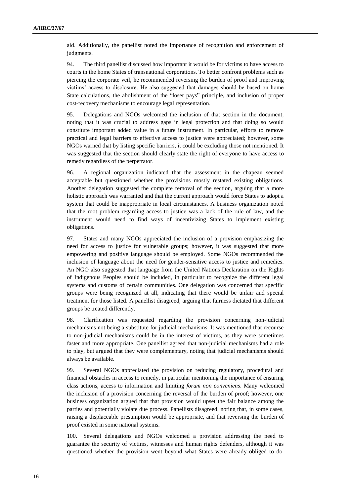aid. Additionally, the panellist noted the importance of recognition and enforcement of judgments.

94. The third panellist discussed how important it would be for victims to have access to courts in the home States of transnational corporations. To better confront problems such as piercing the corporate veil, he recommended reversing the burden of proof and improving victims' access to disclosure. He also suggested that damages should be based on home State calculations, the abolishment of the "loser pays" principle, and inclusion of proper cost-recovery mechanisms to encourage legal representation.

95. Delegations and NGOs welcomed the inclusion of that section in the document, noting that it was crucial to address gaps in legal protection and that doing so would constitute important added value in a future instrument. In particular, efforts to remove practical and legal barriers to effective access to justice were appreciated; however, some NGOs warned that by listing specific barriers, it could be excluding those not mentioned. It was suggested that the section should clearly state the right of everyone to have access to remedy regardless of the perpetrator.

96. A regional organization indicated that the assessment in the chapeau seemed acceptable but questioned whether the provisions mostly restated existing obligations. Another delegation suggested the complete removal of the section, arguing that a more holistic approach was warranted and that the current approach would force States to adopt a system that could be inappropriate in local circumstances. A business organization noted that the root problem regarding access to justice was a lack of the rule of law, and the instrument would need to find ways of incentivizing States to implement existing obligations.

97. States and many NGOs appreciated the inclusion of a provision emphasizing the need for access to justice for vulnerable groups; however, it was suggested that more empowering and positive language should be employed. Some NGOs recommended the inclusion of language about the need for gender-sensitive access to justice and remedies. An NGO also suggested that language from the United Nations Declaration on the Rights of Indigenous Peoples should be included, in particular to recognize the different legal systems and customs of certain communities. One delegation was concerned that specific groups were being recognized at all, indicating that there would be unfair and special treatment for those listed. A panellist disagreed, arguing that fairness dictated that different groups be treated differently.

98. Clarification was requested regarding the provision concerning non-judicial mechanisms not being a substitute for judicial mechanisms. It was mentioned that recourse to non-judicial mechanisms could be in the interest of victims, as they were sometimes faster and more appropriate. One panellist agreed that non-judicial mechanisms had a role to play, but argued that they were complementary, noting that judicial mechanisms should always be available.

99. Several NGOs appreciated the provision on reducing regulatory, procedural and financial obstacles in access to remedy, in particular mentioning the importance of ensuring class actions, access to information and limiting *forum non conveniens*. Many welcomed the inclusion of a provision concerning the reversal of the burden of proof; however, one business organization argued that that provision would upset the fair balance among the parties and potentially violate due process. Panellists disagreed, noting that, in some cases, raising a displaceable presumption would be appropriate, and that reversing the burden of proof existed in some national systems.

100. Several delegations and NGOs welcomed a provision addressing the need to guarantee the security of victims, witnesses and human rights defenders, although it was questioned whether the provision went beyond what States were already obliged to do.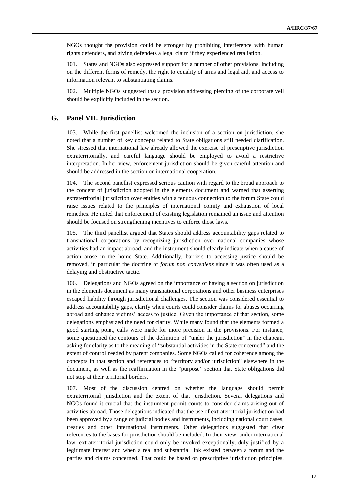NGOs thought the provision could be stronger by prohibiting interference with human rights defenders, and giving defenders a legal claim if they experienced retaliation.

101. States and NGOs also expressed support for a number of other provisions, including on the different forms of remedy, the right to equality of arms and legal aid, and access to information relevant to substantiating claims.

102. Multiple NGOs suggested that a provision addressing piercing of the corporate veil should be explicitly included in the section.

#### **G. Panel VII. Jurisdiction**

103. While the first panellist welcomed the inclusion of a section on jurisdiction, she noted that a number of key concepts related to State obligations still needed clarification. She stressed that international law already allowed the exercise of prescriptive jurisdiction extraterritorially, and careful language should be employed to avoid a restrictive interpretation. In her view, enforcement jurisdiction should be given careful attention and should be addressed in the section on international cooperation.

104. The second panellist expressed serious caution with regard to the broad approach to the concept of jurisdiction adopted in the elements document and warned that asserting extraterritorial jurisdiction over entities with a tenuous connection to the forum State could raise issues related to the principles of international comity and exhaustion of local remedies. He noted that enforcement of existing legislation remained an issue and attention should be focused on strengthening incentives to enforce those laws.

105. The third panellist argued that States should address accountability gaps related to transnational corporations by recognizing jurisdiction over national companies whose activities had an impact abroad, and the instrument should clearly indicate when a cause of action arose in the home State. Additionally, barriers to accessing justice should be removed, in particular the doctrine of *forum non conveniens* since it was often used as a delaying and obstructive tactic.

106. Delegations and NGOs agreed on the importance of having a section on jurisdiction in the elements document as many transnational corporations and other business enterprises escaped liability through jurisdictional challenges. The section was considered essential to address accountability gaps, clarify when courts could consider claims for abuses occurring abroad and enhance victims' access to justice. Given the importance of that section, some delegations emphasized the need for clarity. While many found that the elements formed a good starting point, calls were made for more precision in the provisions. For instance, some questioned the contours of the definition of "under the jurisdiction" in the chapeau, asking for clarity as to the meaning of "substantial activities in the State concerned" and the extent of control needed by parent companies. Some NGOs called for coherence among the concepts in that section and references to "territory and/or jurisdiction" elsewhere in the document, as well as the reaffirmation in the "purpose" section that State obligations did not stop at their territorial borders.

107. Most of the discussion centred on whether the language should permit extraterritorial jurisdiction and the extent of that jurisdiction. Several delegations and NGOs found it crucial that the instrument permit courts to consider claims arising out of activities abroad. Those delegations indicated that the use of extraterritorial jurisdiction had been approved by a range of judicial bodies and instruments, including national court cases, treaties and other international instruments. Other delegations suggested that clear references to the bases for jurisdiction should be included. In their view, under international law, extraterritorial jurisdiction could only be invoked exceptionally, duly justified by a legitimate interest and when a real and substantial link existed between a forum and the parties and claims concerned. That could be based on prescriptive jurisdiction principles,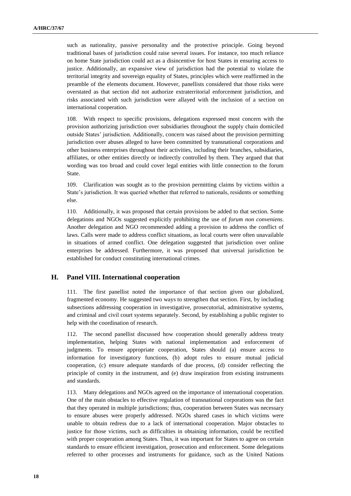such as nationality, passive personality and the protective principle. Going beyond traditional bases of jurisdiction could raise several issues. For instance, too much reliance on home State jurisdiction could act as a disincentive for host States in ensuring access to justice. Additionally, an expansive view of jurisdiction had the potential to violate the territorial integrity and sovereign equality of States, principles which were reaffirmed in the preamble of the elements document. However, panellists considered that those risks were overstated as that section did not authorize extraterritorial enforcement jurisdiction, and risks associated with such jurisdiction were allayed with the inclusion of a section on international cooperation.

108. With respect to specific provisions, delegations expressed most concern with the provision authorizing jurisdiction over subsidiaries throughout the supply chain domiciled outside States' jurisdiction. Additionally, concern was raised about the provision permitting jurisdiction over abuses alleged to have been committed by transnational corporations and other business enterprises throughout their activities, including their branches, subsidiaries, affiliates, or other entities directly or indirectly controlled by them. They argued that that wording was too broad and could cover legal entities with little connection to the forum State.

109. Clarification was sought as to the provision permitting claims by victims within a State's jurisdiction. It was queried whether that referred to nationals, residents or something else.

110. Additionally, it was proposed that certain provisions be added to that section. Some delegations and NGOs suggested explicitly prohibiting the use of *forum non conveniens*. Another delegation and NGO recommended adding a provision to address the conflict of laws. Calls were made to address conflict situations, as local courts were often unavailable in situations of armed conflict. One delegation suggested that jurisdiction over online enterprises be addressed. Furthermore, it was proposed that universal jurisdiction be established for conduct constituting international crimes.

#### **H. Panel VIII. International cooperation**

111. The first panellist noted the importance of that section given our globalized, fragmented economy. He suggested two ways to strengthen that section. First, by including subsections addressing cooperation in investigative, prosecutorial, administrative systems, and criminal and civil court systems separately. Second, by establishing a public register to help with the coordination of research.

112. The second panellist discussed how cooperation should generally address treaty implementation, helping States with national implementation and enforcement of judgments. To ensure appropriate cooperation, States should (a) ensure access to information for investigatory functions, (b) adopt rules to ensure mutual judicial cooperation, (c) ensure adequate standards of due process, (d) consider reflecting the principle of comity in the instrument, and (e) draw inspiration from existing instruments and standards.

113. Many delegations and NGOs agreed on the importance of international cooperation. One of the main obstacles to effective regulation of transnational corporations was the fact that they operated in multiple jurisdictions; thus, cooperation between States was necessary to ensure abuses were properly addressed. NGOs shared cases in which victims were unable to obtain redress due to a lack of international cooperation. Major obstacles to justice for those victims, such as difficulties in obtaining information, could be rectified with proper cooperation among States. Thus, it was important for States to agree on certain standards to ensure efficient investigation, prosecution and enforcement. Some delegations referred to other processes and instruments for guidance, such as the United Nations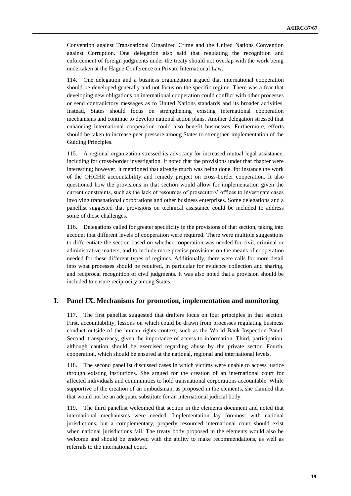Convention against Transnational Organized Crime and the United Nations Convention against Corruption. One delegation also said that regulating the recognition and enforcement of foreign judgments under the treaty should not overlap with the work being undertaken at the Hague Conference on Private International Law.

114. One delegation and a business organization argued that international cooperation should be developed generally and not focus on the specific regime. There was a fear that developing new obligations on international cooperation could conflict with other processes or send contradictory messages as to United Nations standards and its broader activities. Instead, States should focus on strengthening existing international cooperation mechanisms and continue to develop national action plans. Another delegation stressed that enhancing international cooperation could also benefit businesses. Furthermore, efforts should be taken to increase peer pressure among States to strengthen implementation of the Guiding Principles.

115. A regional organization stressed its advocacy for increased mutual legal assistance, including for cross-border investigation. It noted that the provisions under that chapter were interesting; however, it mentioned that already much was being done, for instance the work of the OHCHR accountability and remedy project on cross-border cooperation. It also questioned how the provisions in that section would allow for implementation given the current constraints, such as the lack of resources of prosecutors' offices to investigate cases involving transnational corporations and other business enterprises. Some delegations and a panellist suggested that provisions on technical assistance could be included to address some of those challenges.

116. Delegations called for greater specificity in the provisions of that section, taking into account that different levels of cooperation were required. There were multiple suggestions to differentiate the section based on whether cooperation was needed for civil, criminal or administrative matters, and to include more precise provisions on the means of cooperation needed for these different types of regimes. Additionally, there were calls for more detail into what processes should be required, in particular for evidence collection and sharing, and reciprocal recognition of civil judgments. It was also noted that a provision should be included to ensure reciprocity among States.

### **I. Panel IX. Mechanisms for promotion, implementation and monitoring**

117. The first panellist suggested that drafters focus on four principles in that section. First, accountability, lessons on which could be drawn from processes regulating business conduct outside of the human rights context, such as the World Bank Inspection Panel. Second, transparency, given the importance of access to information. Third, participation, although caution should be exercised regarding abuse by the private sector. Fourth, cooperation, which should be ensured at the national, regional and international levels.

118. The second panellist discussed cases in which victims were unable to access justice through existing institutions. She argued for the creation of an international court for affected individuals and communities to hold transnational corporations accountable. While supportive of the creation of an ombudsman, as proposed in the elements, she claimed that that would not be an adequate substitute for an international judicial body.

119. The third panellist welcomed that section in the elements document and noted that international mechanisms were needed. Implementation lay foremost with national jurisdictions, but a complementary, properly resourced international court should exist when national jurisdictions fail. The treaty body proposed in the elements would also be welcome and should be endowed with the ability to make recommendations, as well as referrals to the international court.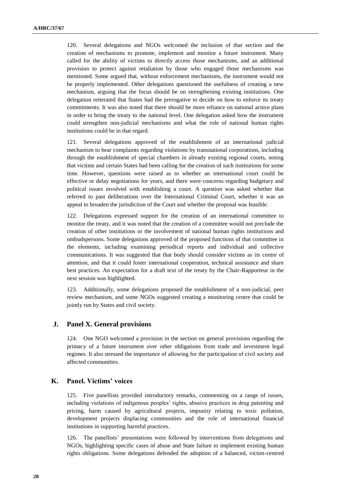120. Several delegations and NGOs welcomed the inclusion of that section and the creation of mechanisms to promote, implement and monitor a future instrument. Many called for the ability of victims to directly access those mechanisms, and an additional provision to protect against retaliation by those who engaged those mechanisms was mentioned. Some argued that, without enforcement mechanisms, the instrument would not be properly implemented. Other delegations questioned the usefulness of creating a new mechanism, arguing that the focus should be on strengthening existing institutions. One delegation reiterated that States had the prerogative to decide on how to enforce its treaty commitments. It was also noted that there should be more reliance on national action plans in order to bring the treaty to the national level. One delegation asked how the instrument could strengthen non-judicial mechanisms and what the role of national human rights institutions could be in that regard.

121. Several delegations approved of the establishment of an international judicial mechanism to hear complaints regarding violations by transnational corporations, including through the establishment of special chambers in already existing regional courts, noting that victims and certain States had been calling for the creation of such institutions for some time. However, questions were raised as to whether an international court could be effective or delay negotiations for years, and there were concerns regarding budgetary and political issues involved with establishing a court. A question was asked whether that referred to past deliberations over the International Criminal Court, whether it was an appeal to broaden the jurisdiction of the Court and whether the proposal was feasible.

122. Delegations expressed support for the creation of an international committee to monitor the treaty, and it was noted that the creation of a committee would not preclude the creation of other institutions or the involvement of national human rights institutions and ombudspersons. Some delegations approved of the proposed functions of that committee in the elements, including examining periodical reports and individual and collective communications. It was suggested that that body should consider victims as its centre of attention, and that it could foster international cooperation, technical assistance and share best practices. An expectation for a draft text of the treaty by the Chair-Rapporteur in the next session was highlighted.

123. Additionally, some delegations proposed the establishment of a non-judicial, peer review mechanism, and some NGOs suggested creating a monitoring centre that could be jointly run by States and civil society.

#### **J. Panel X. General provisions**

124. One NGO welcomed a provision in the section on general provisions regarding the primacy of a future instrument over other obligations from trade and investment legal regimes. It also stressed the importance of allowing for the participation of civil society and affected communities.

### **K. Panel. Victims' voices**

125. Five panellists provided introductory remarks, commenting on a range of issues, including violations of indigenous peoples' rights, abusive practices in drug patenting and pricing, harm caused by agricultural projects, impunity relating to toxic pollution, development projects displacing communities and the role of international financial institutions in supporting harmful practices.

126. The panellists' presentations were followed by interventions from delegations and NGOs, highlighting specific cases of abuse and State failure to implement existing human rights obligations. Some delegations defended the adoption of a balanced, victim-centred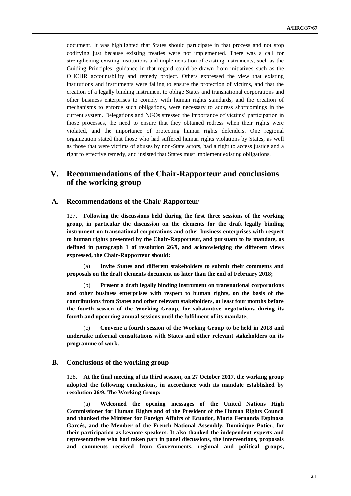document. It was highlighted that States should participate in that process and not stop codifying just because existing treaties were not implemented. There was a call for strengthening existing institutions and implementation of existing instruments, such as the Guiding Principles; guidance in that regard could be drawn from initiatives such as the OHCHR accountability and remedy project. Others expressed the view that existing institutions and instruments were failing to ensure the protection of victims, and that the creation of a legally binding instrument to oblige States and transnational corporations and other business enterprises to comply with human rights standards, and the creation of mechanisms to enforce such obligations, were necessary to address shortcomings in the current system. Delegations and NGOs stressed the importance of victims' participation in those processes, the need to ensure that they obtained redress when their rights were violated, and the importance of protecting human rights defenders. One regional organization stated that those who had suffered human rights violations by States, as well as those that were victims of abuses by non-State actors, had a right to access justice and a right to effective remedy, and insisted that States must implement existing obligations.

# **V. Recommendations of the Chair-Rapporteur and conclusions of the working group**

#### **A. Recommendations of the Chair-Rapporteur**

127. **Following the discussions held during the first three sessions of the working group, in particular the discussion on the elements for the draft legally binding instrument on transnational corporations and other business enterprises with respect to human rights presented by the Chair-Rapporteur, and pursuant to its mandate, as defined in paragraph 1 of resolution 26/9, and acknowledging the different views expressed, the Chair-Rapporteur should:**

(a) **Invite States and different stakeholders to submit their comments and proposals on the draft elements document no later than the end of February 2018;**

(b) **Present a draft legally binding instrument on transnational corporations and other business enterprises with respect to human rights, on the basis of the contributions from States and other relevant stakeholders, at least four months before the fourth session of the Working Group, for substantive negotiations during its fourth and upcoming annual sessions until the fulfilment of its mandate;**

(c) **Convene a fourth session of the Working Group to be held in 2018 and undertake informal consultations with States and other relevant stakeholders on its programme of work.**

#### **B. Conclusions of the working group**

128. **At the final meeting of its third session, on 27 October 2017, the working group adopted the following conclusions, in accordance with its mandate established by resolution 26/9. The Working Group:**

(a) **Welcomed the opening messages of the United Nations High Commissioner for Human Rights and of the President of the Human Rights Council and thanked the Minister for Foreign Affairs of Ecuador, María Fernanda Espinosa Garcés, and the Member of the French National Assembly, Dominique Potier, for their participation as keynote speakers. It also thanked the independent experts and representatives who had taken part in panel discussions, the interventions, proposals and comments received from Governments, regional and political groups,**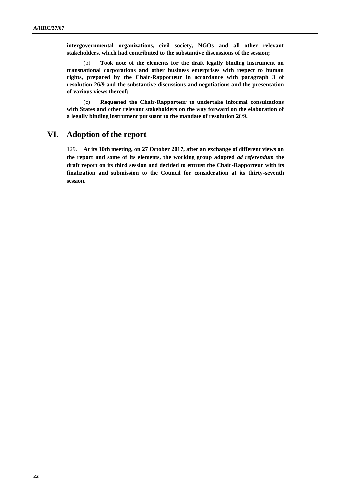**intergovernmental organizations, civil society, NGOs and all other relevant stakeholders, which had contributed to the substantive discussions of the session;** 

(b) **Took note of the elements for the draft legally binding instrument on transnational corporations and other business enterprises with respect to human rights, prepared by the Chair-Rapporteur in accordance with paragraph 3 of resolution 26/9 and the substantive discussions and negotiations and the presentation of various views thereof;** 

(c) **Requested the Chair-Rapporteur to undertake informal consultations with States and other relevant stakeholders on the way forward on the elaboration of a legally binding instrument pursuant to the mandate of resolution 26/9.**

# **VI. Adoption of the report**

129. **At its 10th meeting, on 27 October 2017, after an exchange of different views on the report and some of its elements, the working group adopted** *ad referendum* **the draft report on its third session and decided to entrust the Chair-Rapporteur with its finalization and submission to the Council for consideration at its thirty-seventh session.**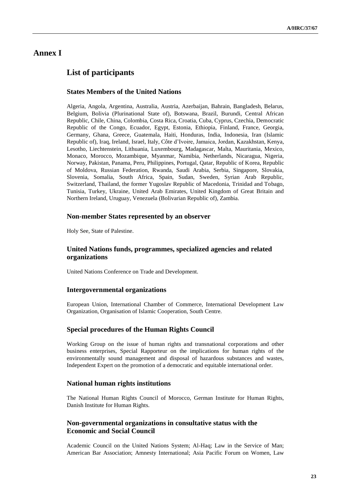# **Annex I**

# **List of participants**

## **States Members of the United Nations**

Algeria, Angola, Argentina, Australia, Austria, Azerbaijan, Bahrain, Bangladesh, Belarus, Belgium, Bolivia (Plurinational State of), Botswana, Brazil, Burundi, Central African Republic, Chile, China, Colombia, Costa Rica, Croatia, Cuba, Cyprus, Czechia, Democratic Republic of the Congo, Ecuador, Egypt, Estonia, Ethiopia, Finland, France, Georgia, Germany, Ghana, Greece, Guatemala, Haiti, Honduras, India, Indonesia, Iran (Islamic Republic of), Iraq, Ireland, Israel, Italy, Côte d'Ivoire, Jamaica, Jordan, Kazakhstan, Kenya, Lesotho, Liechtenstein, Lithuania, Luxembourg, Madagascar, Malta, Mauritania, Mexico, Monaco, Morocco, Mozambique, Myanmar, Namibia, Netherlands, Nicaragua, Nigeria, Norway, Pakistan, Panama, Peru, Philippines, Portugal, Qatar, Republic of Korea, Republic of Moldova, Russian Federation, Rwanda, Saudi Arabia, Serbia, Singapore, Slovakia, Slovenia, Somalia, South Africa, Spain, Sudan, Sweden, Syrian Arab Republic, Switzerland, Thailand, the former Yugoslav Republic of Macedonia, Trinidad and Tobago, Tunisia, Turkey, Ukraine, United Arab Emirates, United Kingdom of Great Britain and Northern Ireland, Uruguay, Venezuela (Bolivarian Republic of), Zambia.

#### **Non-member States represented by an observer**

Holy See, State of Palestine.

## **United Nations funds, programmes, specialized agencies and related organizations**

United Nations Conference on Trade and Development.

#### **Intergovernmental organizations**

European Union, International Chamber of Commerce, International Development Law Organization, Organisation of Islamic Cooperation, South Centre.

### **Special procedures of the Human Rights Council**

Working Group on the issue of human rights and transnational corporations and other business enterprises, Special Rapporteur on the implications for human rights of the environmentally sound management and disposal of hazardous substances and wastes, Independent Expert on the promotion of a democratic and equitable international order.

### **National human rights institutions**

The National Human Rights Council of Morocco, German Institute for Human Rights, Danish Institute for Human Rights.

### **Non-governmental organizations in consultative status with the Economic and Social Council**

Academic Council on the United Nations System; Al-Haq; Law in the Service of Man; American Bar Association; Amnesty International; Asia Pacific Forum on Women, Law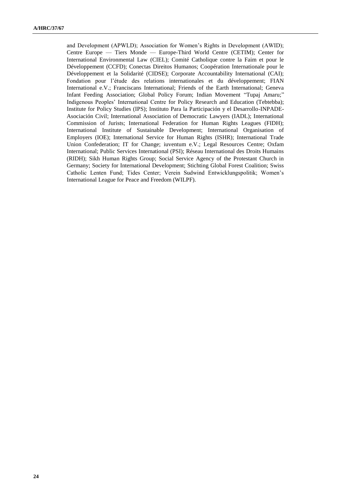and Development (APWLD); Association for Women's Rights in Development (AWID); Centre Europe — Tiers Monde — Europe-Third World Centre (CETIM); Center for International Environmental Law (CIEL); Comité Catholique contre la Faim et pour le Développement (CCFD); Conectas Direitos Humanos; Coopération Internationale pour le Développement et la Solidarité (CIDSE); Corporate Accountability International (CAI); Fondation pour l'étude des relations internationales et du développement; FIAN International e.V.; Franciscans International; Friends of the Earth International; Geneva Infant Feeding Association; Global Policy Forum; Indian Movement "Tupaj Amaru;" Indigenous Peoples' International Centre for Policy Research and Education (Tebtebba); Institute for Policy Studies (IPS); Instituto Para la Participación y el Desarrollo-INPADE-Asociación Civil; International Association of Democratic Lawyers (IADL); International Commission of Jurists; International Federation for Human Rights Leagues (FIDH); International Institute of Sustainable Development; International Organisation of Employers (IOE); International Service for Human Rights (ISHR); International Trade Union Confederation; IT for Change; iuventum e.V.; Legal Resources Centre; Oxfam International; Public Services International (PSI); Réseau International des Droits Humains (RIDH); Sikh Human Rights Group; Social Service Agency of the Protestant Church in Germany; Society for International Development; Stichting Global Forest Coalition; Swiss Catholic Lenten Fund; Tides Center; Verein Sudwind Entwicklungspolitik; Women's International League for Peace and Freedom (WILPF).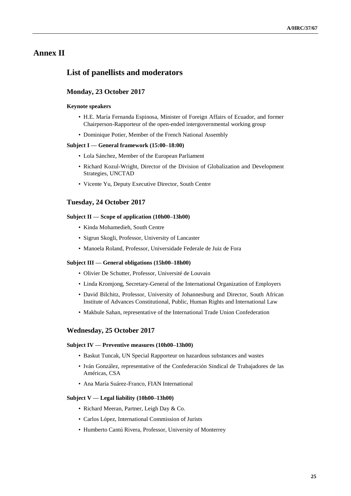# **Annex II**

# **List of panellists and moderators**

#### **Monday, 23 October 2017**

#### **Keynote speakers**

- H.E. María Fernanda Espinosa, Minister of Foreign Affairs of Ecuador, and former Chairperson-Rapporteur of the open-ended intergovernmental working group
- Dominique Potier, Member of the French National Assembly

#### **Subject I — General framework (15:00–18:00)**

- Lola Sánchez, Member of the European Parliament
- Richard Kozul-Wright, Director of the Division of Globalization and Development Strategies, UNCTAD
- Vicente Yu, Deputy Executive Director, South Centre

#### **Tuesday, 24 October 2017**

#### **Subject II — Scope of application (10h00–13h00)**

- Kinda Mohamedieh, South Centre
- Sigrun Skogli, Professor, University of Lancaster
- Manoela Roland, Professor, Universidade Federale de Juiz de Fora

#### **Subject III — General obligations (15h00–18h00)**

- Olivier De Schutter, Professor, Université de Louvain
- Linda Kromjong, Secretary-General of the International Organization of Employers
- David Bilchitz, Professor, University of Johannesburg and Director, South African Institute of Advances Constitutional, Public, Human Rights and International Law
- Makbule Sahan, representative of the International Trade Union Confederation

#### **Wednesday, 25 October 2017**

#### **Subject IV — Preventive measures (10h00–13h00)**

- Baskut Tuncak, UN Special Rapporteur on hazardous substances and wastes
- Iván González, representative of the Confederación Sindical de Trabajadores de las Américas, CSA
- Ana María Suárez-Franco, FIAN International

#### **Subject V — Legal liability (10h00–13h00)**

- Richard Meeran, Partner, Leigh Day & Co.
- Carlos López, International Commission of Jurists
- Humberto Cantú Rivera, Professor, University of Monterrey